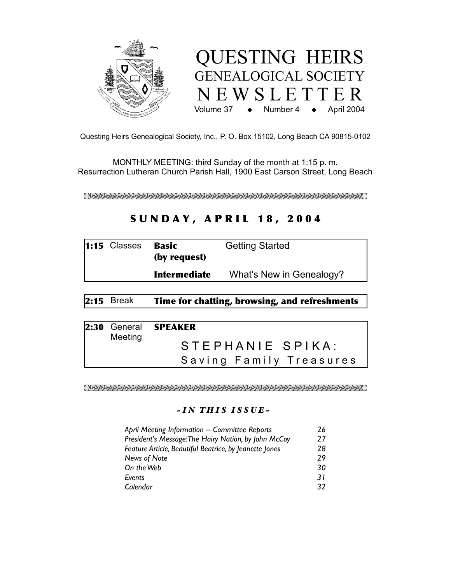



Questing Heirs Genealogical Society, Inc., P. O. Box 15102, Long Beach CA 90815-0102

MONTHLY MEETING: third Sunday of the month at 1:15 p. m. Resurrection Lutheran Church Parish Hall, 1900 East Carson Street, Long Beach

 $\alpha$ a alah sebagai perbanya dan perbanya dan pendapat pendapat pendapat pendapat pendapat perbanyaan dan perbanya

# **SUNDAY, APRIL 18, 2004**

| $1:15$ Classes | <b>Basic</b><br>(by request) | <b>Getting Started</b>   |
|----------------|------------------------------|--------------------------|
|                | <b>Intermediate</b>          | What's New in Genealogy? |

# 2:15 Break Time for chatting, browsing, and refreshments

| Meeting | 2:30 General SPEAKER    |
|---------|-------------------------|
|         | STEPHANIE SPIKA:        |
|         | Saving Family Treasures |

#### *! I N TH I S I S S U E !*

| April Meeting Information - Committee Reports          |     |
|--------------------------------------------------------|-----|
| President's Message: The Hairy Nation, by John McCoy   |     |
| Feature Article, Beautiful Beatrice, by Jeanette Jones |     |
| News of Note                                           | 29  |
| On the Web                                             | 30  |
| Events                                                 | 3 I |
| Calendar                                               | 37  |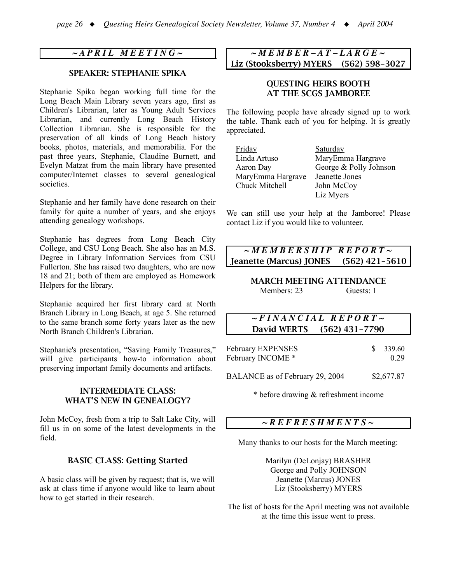# *~ A P R I L M E E T I N G ~*

### SPEAKER: STEPHANIE SPIKA

Stephanie Spika began working full time for the Long Beach Main Library seven years ago, first as Children's Librarian, later as Young Adult Services Librarian, and currently Long Beach History Collection Librarian. She is responsible for the preservation of all kinds of Long Beach history books, photos, materials, and memorabilia. For the past three years, Stephanie, Claudine Burnett, and Evelyn Matzat from the main library have presented computer/Internet classes to several genealogical societies.

Stephanie and her family have done research on their family for quite a number of years, and she enjoys attending genealogy workshops.

Stephanie has degrees from Long Beach City College, and CSU Long Beach. She also has an M.S. Degree in Library Information Services from CSU Fullerton. She has raised two daughters, who are now 18 and 21; both of them are employed as Homework Helpers for the library.

Stephanie acquired her first library card at North Branch Library in Long Beach, at age 5. She returned to the same branch some forty years later as the new North Branch Children's Librarian.

Stephanie's presentation, "Saving Family Treasures," will give participants how-to information about preserving important family documents and artifacts.

### INTERMEDIATE CLASS: WHAT'S NEW IN GENEALOGY?

John McCoy, fresh from a trip to Salt Lake City, will fill us in on some of the latest developments in the field.

#### BASIC CLASS: Getting Started

A basic class will be given by request; that is, we will ask at class time if anyone would like to learn about how to get started in their research.

*~ M E M B E R – A T – L A R G E ~* Liz (Stooksberry) MYERS (562) 598-3027

### QUESTING HEIRS BOOTH AT THE SCGS JAMBOREE

The following people have already signed up to work the table. Thank each of you for helping. It is greatly appreciated.

| Friday            | Saturday               |
|-------------------|------------------------|
| Linda Artuso      | MaryEmma Hargrave      |
| Aaron Day         | George & Polly Johnson |
| MaryEmma Hargrave | Jeanette Jones         |
| Chuck Mitchell    | John McCoy             |
|                   | Liz Myers              |

We can still use your help at the Jamboree! Please contact Liz if you would like to volunteer.

# *~ M E M B E R S H I P R E P O R T ~* Jeanette (Marcus) JONES (562) 421-5610

#### MARCH MEETING ATTENDANCE Members: 23 Guests: 1

# *~ F I N A N C I A L R E P O R T ~* David WERTS (562) 431-7790

| February EXPENSES | $\frac{\$}{339.60}$ |
|-------------------|---------------------|
| February INCOME * | 0.29                |

BALANCE as of February 29, 2004 \$2,677.87

\* before drawing & refreshment income

### *~ R E F R E S H M E N T S ~*

Many thanks to our hosts for the March meeting:

Marilyn (DeLonjay) BRASHER George and Polly JOHNSON Jeanette (Marcus) JONES Liz (Stooksberry) MYERS

The list of hosts for the April meeting was not available at the time this issue went to press.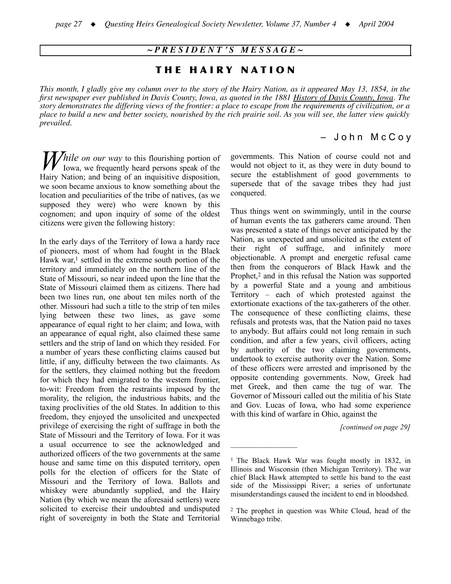### *~ P R E S I D E N T ' S M E S S A G E ~*

# THE HAIRY NATION

This month, I gladly give my column over to the story of the Hairy Nation, as it appeared May 13, 1854, in the first newspaper ever published in Davis County, Iowa, as quoted in the 1881 History of Davis County, Iowa. The story demonstrates the differing views of the frontier: a place to escape from the requirements of civilization, or a place to build a new and better society, nourished by the rich prairie soil. As you will see, the latter view quickly *prevailed.*

### – J o h n M c C o y

*hile on our way* to this flourishing portion of lowa, we frequently heard persons speak of the Iowa, we frequently heard persons speak of the Hairy Nation; and being of an inquisitive disposition, we soon became anxious to know something about the location and peculiarities of the tribe of natives, (as we supposed they were) who were known by this cognomen; and upon inquiry of some of the oldest citizens were given the following history:

In the early days of the Territory of Iowa a hardy race of pioneers, most of whom had fought in the Black Hawk war, <sup>1</sup> settled in the extreme south portion of the territory and immediately on the northern line of the State of Missouri, so near indeed upon the line that the State of Missouri claimed them as citizens. There had been two lines run, one about ten miles north of the other. Missouri had such a title to the strip of ten miles lying between these two lines, as gave some appearance of equal right to her claim; and Iowa, with an appearance of equal right, also claimed these same settlers and the strip of land on which they resided. For a number of years these conflicting claims caused but little, if any, difficulty between the two claimants. As for the settlers, they claimed nothing but the freedom for which they had emigrated to the western frontier, to-wit: Freedom from the restraints imposed by the morality, the religion, the industrious habits, and the taxing proclivities of the old States. In addition to this freedom, they enjoyed the unsolicited and unexpected privilege of exercising the right of suffrage in both the State of Missouri and the Territory of Iowa. For it was a usual occurrence to see the acknowledged and authorized officers of the two governments at the same house and same time on this disputed territory, open polls for the election of officers for the State of Missouri and the Territory of Iowa. Ballots and whiskey were abundantly supplied, and the Hairy Nation (by which we mean the aforesaid settlers) were solicited to exercise their undoubted and undisputed right of sovereignty in both the State and Territorial governments. This Nation of course could not and would not object to it, as they were in duty bound to secure the establishment of good governments to supersede that of the savage tribes they had just conquered.

Thus things went on swimmingly, until in the course of human events the tax gatherers came around. Then was presented a state of things never anticipated by the Nation, as unexpected and unsolicited as the extent of their right of suffrage, and infinitely more objectionable. A prompt and energetic refusal came then from the conquerors of Black Hawk and the Prophet,<sup>2</sup> and in this refusal the Nation was supported by a powerful State and a young and ambitious Territory – each of which protested against the extortionate exactions of the tax-gatherers of the other. The consequence of these conflicting claims, these refusals and protests was, that the Nation paid no taxes to anybody. But affairs could not long remain in such condition, and after a few years, civil officers, acting by authority of the two claiming governments, undertook to exercise authority over the Nation. Some of these officers were arrested and imprisoned by the opposite contending governments. Now, Greek had met Greek, and then came the tug of war. The Governor of Missouri called out the militia of his State and Gov. Lucas of Iowa, who had some experience with this kind of warfare in Ohio, against the

*[continued on page 29]*

 $\mathcal{L}_\text{max}$ 

<sup>1</sup> The Black Hawk War was fought mostly in 1832, in Illinois and Wisconsin (then Michigan Territory). The war chief Black Hawk attempted to settle his band to the east side of the Mississippi River; a series of unfortunate misunderstandings caused the incident to end in bloodshed.

<sup>2</sup> The prophet in question was White Cloud, head of the Winnebago tribe.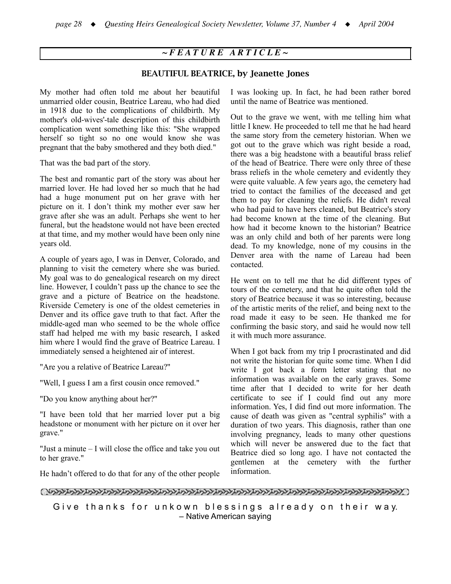## *~ F E A T U R E A R T I C L E ~*

### BEAUTIFUL BEATRICE, by Jeanette Jones

My mother had often told me about her beautiful unmarried older cousin, Beatrice Lareau, who had died in 1918 due to the complications of childbirth. My mother's old-wives'-tale description of this childbirth complication went something like this: "She wrapped herself so tight so no one would know she was pregnant that the baby smothered and they both died."

That was the bad part of the story.

The best and romantic part of the story was about her married lover. He had loved her so much that he had had a huge monument put on her grave with her picture on it. I don't think my mother ever saw her grave after she was an adult. Perhaps she went to her funeral, but the headstone would not have been erected at that time, and my mother would have been only nine years old.

A couple of years ago, I was in Denver, Colorado, and planning to visit the cemetery where she was buried. My goal was to do genealogical research on my direct line. However, I couldn't pass up the chance to see the grave and a picture of Beatrice on the headstone. Riverside Cemetery is one of the oldest cemeteries in Denver and its office gave truth to that fact. After the middle-aged man who seemed to be the whole office staff had helped me with my basic research, I asked him where I would find the grave of Beatrice Lareau. I immediately sensed a heightened air of interest.

"Are you a relative of Beatrice Lareau?"

"Well, I guess I am a first cousin once removed."

"Do you know anything about her?"

"I have been told that her married lover put a big headstone or monument with her picture on it over her grave."

"Just a minute – I will close the office and take you out to her grave."

I was looking up. In fact, he had been rather bored until the name of Beatrice was mentioned.

Out to the grave we went, with me telling him what little I knew. He proceeded to tell me that he had heard the same story from the cemetery historian. When we got out to the grave which was right beside a road, there was a big headstone with a beautiful brass relief of the head of Beatrice. There were only three of these brass reliefs in the whole cemetery and evidently they were quite valuable. A few years ago, the cemetery had tried to contact the families of the deceased and get them to pay for cleaning the reliefs. He didn't reveal who had paid to have hers cleaned, but Beatrice's story had become known at the time of the cleaning. But how had it become known to the historian? Beatrice was an only child and both of her parents were long dead. To my knowledge, none of my cousins in the Denver area with the name of Lareau had been contacted.

He went on to tell me that he did different types of tours of the cemetery, and that he quite often told the story of Beatrice because it was so interesting, because of the artistic merits of the relief, and being next to the road made it easy to be seen. He thanked me for confirming the basic story, and said he would now tell it with much more assurance.

When I got back from my trip I procrastinated and did not write the historian for quite some time. When I did write I got back a form letter stating that no information was available on the early graves. Some time after that I decided to write for her death certificate to see if I could find out any more information. Yes, I did find out more information. The cause of death was given as "central syphilis" with a duration of two years. This diagnosis, rather than one involving pregnancy, leads to many other questions which will never be answered due to the fact that Beatrice died so long ago. I have not contacted the gentlemen at the cemetery with the further information.

He hadn't offered to do that for any of the other people

Give thanks for unkown blessings already on their way. – Native American saying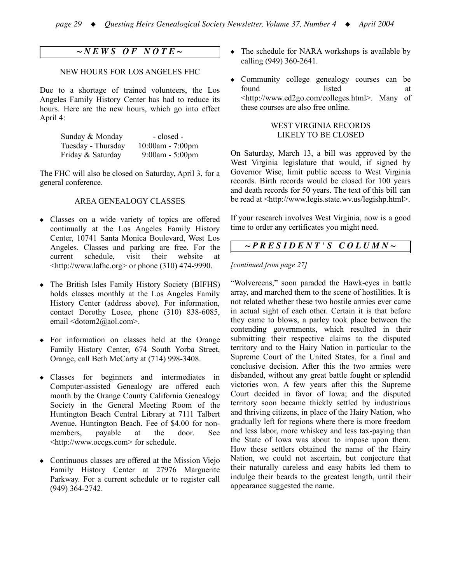### *~ N E W S O F N O T E ~*

#### NEW HOURS FOR LOS ANGELES FHC

Due to a shortage of trained volunteers, the Los Angeles Family History Center has had to reduce its hours. Here are the new hours, which go into effect April 4:

| Sunday & Monday    | - closed -          |
|--------------------|---------------------|
| Tuesday - Thursday | $10:00$ am - 7:00pm |
| Friday & Saturday  | $9:00$ am - 5:00pm  |

The FHC will also be closed on Saturday, April 3, for a general conference.

#### AREA GENEALOGY CLASSES

- Classes on a wide variety of topics are offered continually at the Los Angeles Family History Center, 10741 Santa Monica Boulevard, West Los Angeles. Classes and parking are free. For the current schedule, visit their website at  $\langle$ http://www.lafhc.org> or phone (310) 474-9990.
- The British Isles Family History Society (BIFHS) holds classes monthly at the Los Angeles Family History Center (address above). For information, contact Dorothy Losee, phone (310) 838-6085, email <dotom2@aol.com>.
- ! For information on classes held at the Orange Family History Center, 674 South Yorba Street, Orange, call Beth McCarty at (714) 998-3408.
- Classes for beginners and intermediates in Computer-assisted Genealogy are offered each month by the Orange County California Genealogy Society in the General Meeting Room of the Huntington Beach Central Library at 7111 Talbert Avenue, Huntington Beach. Fee of \$4.00 for nonmembers, payable at the door. See <http://www.occgs.com> for schedule.
- Continuous classes are offered at the Mission Viejo Family History Center at 27976 Marguerite Parkway. For a current schedule or to register call (949) 364-2742.
- The schedule for NARA workshops is available by calling (949) 360-2641.
- Community college genealogy courses can be found listed at <http://www.ed2go.com/colleges.html>. Many of these courses are also free online.

#### WEST VIRGINIA RECORDS LIKELY TO BE CLOSED

On Saturday, March 13, a bill was approved by the West Virginia legislature that would, if signed by Governor Wise, limit public access to West Virginia records. Birth records would be closed for 100 years and death records for 50 years. The text of this bill can be read at <http://www.legis.state.wv.us/legishp.html>.

If your research involves West Virginia, now is a good time to order any certificates you might need.

### *~ P R E S I D E N T ' S C O L U M N ~*

#### *[continued from page 27]*

"Wolvereens," soon paraded the Hawk-eyes in battle array, and marched them to the scene of hostilities. It is not related whether these two hostile armies ever came in actual sight of each other. Certain it is that before they came to blows, a parley took place between the contending governments, which resulted in their submitting their respective claims to the disputed territory and to the Hairy Nation in particular to the Supreme Court of the United States, for a final and conclusive decision. After this the two armies were disbanded, without any great battle fought or splendid victories won. A few years after this the Supreme Court decided in favor of Iowa; and the disputed territory soon became thickly settled by industrious and thriving citizens, in place of the Hairy Nation, who gradually left for regions where there is more freedom and less labor, more whiskey and less tax-paying than the State of Iowa was about to impose upon them. How these settlers obtained the name of the Hairy Nation, we could not ascertain, but conjecture that their naturally careless and easy habits led them to indulge their beards to the greatest length, until their appearance suggested the name.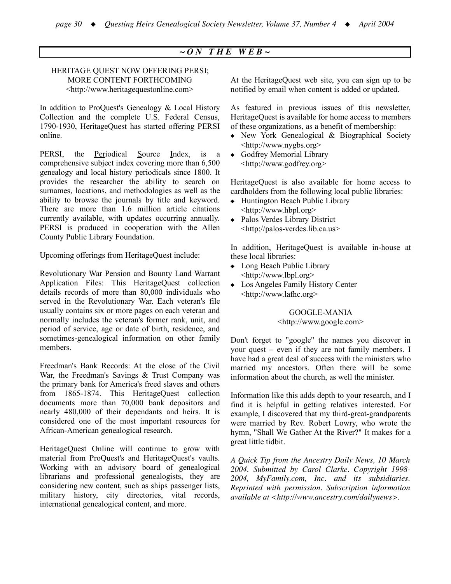### $\sim$  *ON* THE WEB $\sim$

#### HERITAGE QUEST NOW OFFERING PERSI; MORE CONTENT FORTHCOMING <http://www.heritagequestonline.com>

In addition to ProQuest's Genealogy & Local History Collection and the complete U.S. Federal Census, 1790-1930, HeritageQuest has started offering PERSI online.

PERSI, the Periodical Source Index, is a comprehensive subject index covering more than 6,500 genealogy and local history periodicals since 1800. It provides the researcher the ability to search on surnames, locations, and methodologies as well as the ability to browse the journals by title and keyword. There are more than 1.6 million article citations currently available, with updates occurring annually. PERSI is produced in cooperation with the Allen County Public Library Foundation.

Upcoming offerings from HeritageQuest include:

Revolutionary War Pension and Bounty Land Warrant Application Files: This HeritageQuest collection details records of more than 80,000 individuals who served in the Revolutionary War. Each veteran's file usually contains six or more pages on each veteran and normally includes the veteran's former rank, unit, and period of service, age or date of birth, residence, and sometimes-genealogical information on other family members.

Freedman's Bank Records: At the close of the Civil War, the Freedman's Savings & Trust Company was the primary bank for America's freed slaves and others from 1865-1874. This HeritageQuest collection documents more than 70,000 bank depositors and nearly 480,000 of their dependants and heirs. It is considered one of the most important resources for African-American genealogical research.

HeritageQuest Online will continue to grow with material from ProQuest's and HeritageQuest's vaults. Working with an advisory board of genealogical librarians and professional genealogists, they are considering new content, such as ships passenger lists, military history, city directories, vital records, international genealogical content, and more.

At the HeritageQuest web site, you can sign up to be notified by email when content is added or updated.

As featured in previous issues of this newsletter, HeritageQuest is available for home access to members of these organizations, as a benefit of membership:

- New York Genealogical & Biographical Society <http://www.nygbs.org>
- ! Godfrey Memorial Library <http://www.godfrey.org>

HeritageQuest is also available for home access to cardholders from the following local public libraries:

- Huntington Beach Public Library <http://www.hbpl.org>
- ! Palos Verdes Library District <http://palos-verdes.lib.ca.us>

In addition, HeritageQuest is available in-house at these local libraries:

- Long Beach Public Library <http://www.lbpl.org>
- Los Angeles Family History Center <http://www.lafhc.org>

GOOGLE-MANIA <http://www.google.com>

Don't forget to "google" the names you discover in your quest – even if they are not family members. I have had a great deal of success with the ministers who married my ancestors. Often there will be some information about the church, as well the minister.

Information like this adds depth to your research, and I find it is helpful in getting relatives interested. For example, I discovered that my third-great-grandparents were married by Rev. Robert Lowry, who wrote the hymn, "Shall We Gather At the River?" It makes for a great little tidbit.

*A Quick Tip from the Ancestry Daily News, 10 March 2004. Submitted by Carol Clarke. Copyright 1998- 2004, MyFamily.com, Inc. and its subsidiaries. Reprinted with permission. Subscription information available at <http://www.ancestry.com/dailynews>.*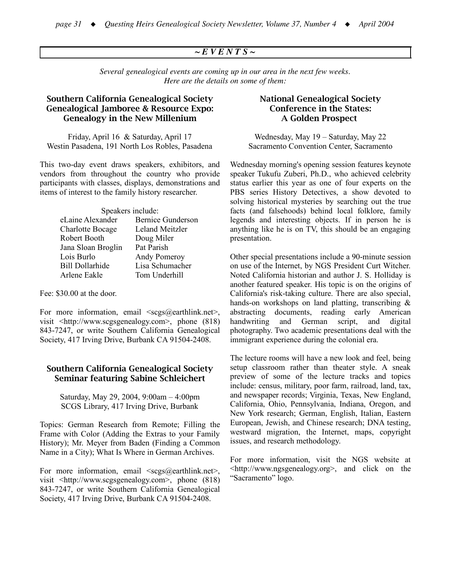### *~ E V E N T S ~*

*Several genealogical events are coming up in our area in the next few weeks. Here are the details on some of them:*

### Southern California Genealogical Society Genealogical Jamboree & Resource Expo: Genealogy in the New Millenium

Friday, April 16 & Saturday, April 17 Westin Pasadena, 191 North Los Robles, Pasadena

This two-day event draws speakers, exhibitors, and vendors from throughout the country who provide participants with classes, displays, demonstrations and items of interest to the family history researcher.

| Speakers include:       |                          |  |  |
|-------------------------|--------------------------|--|--|
| eLaine Alexander        | <b>Bernice Gunderson</b> |  |  |
| <b>Charlotte Bocage</b> | <b>Leland Meitzler</b>   |  |  |
| Robert Booth            | Doug Miler               |  |  |
| Jana Sloan Broglin      | Pat Parish               |  |  |
| Lois Burlo              | Andy Pomeroy             |  |  |
| <b>Bill Dollarhide</b>  | Lisa Schumacher          |  |  |
| Arlene Eakle            | Tom Underhill            |  |  |
|                         |                          |  |  |

Fee: \$30.00 at the door.

For more information, email  $\langle \text{scgs}(\hat{a}) \rangle$ earthlink.net $>$ , visit <http://www.scgsgenealogy.com>, phone (818) 843-7247, or write Southern California Genealogical Society, 417 Irving Drive, Burbank CA 91504-2408.

### Southern California Genealogical Society Seminar featuring Sabine Schleichert

Saturday, May 29, 2004, 9:00am – 4:00pm SCGS Library, 417 Irving Drive, Burbank

Topics: German Research from Remote; Filling the Frame with Color (Adding the Extras to your Family History); Mr. Meyer from Baden (Finding a Common Name in a City); What Is Where in German Archives.

For more information, email  $\langle \text{scgs}(\hat{a}) \rangle$ earthlink.net $>$ , visit <http://www.scgsgenealogy.com>, phone (818) 843-7247, or write Southern California Genealogical Society, 417 Irving Drive, Burbank CA 91504-2408.

### National Genealogical Society Conference in the States: A Golden Prospect

Wednesday, May 19 – Saturday, May 22 Sacramento Convention Center, Sacramento

Wednesday morning's opening session features keynote speaker Tukufu Zuberi, Ph.D., who achieved celebrity status earlier this year as one of four experts on the PBS series History Detectives, a show devoted to solving historical mysteries by searching out the true facts (and falsehoods) behind local folklore, family legends and interesting objects. If in person he is anything like he is on TV, this should be an engaging presentation.

Other special presentations include a 90-minute session on use of the Internet, by NGS President Curt Witcher. Noted California historian and author J. S. Holliday is another featured speaker. His topic is on the origins of California's risk-taking culture. There are also special, hands-on workshops on land platting, transcribing & abstracting documents, reading early American handwriting and German script, and digital photography. Two academic presentations deal with the immigrant experience during the colonial era.

The lecture rooms will have a new look and feel, being setup classroom rather than theater style. A sneak preview of some of the lecture tracks and topics include: census, military, poor farm, railroad, land, tax, and newspaper records; Virginia, Texas, New England, California, Ohio, Pennsylvania, Indiana, Oregon, and New York research; German, English, Italian, Eastern European, Jewish, and Chinese research; DNA testing, westward migration, the Internet, maps, copyright issues, and research methodology.

For more information, visit the NGS website at <http://www.ngsgenealogy.org>, and click on the "Sacramento" logo.